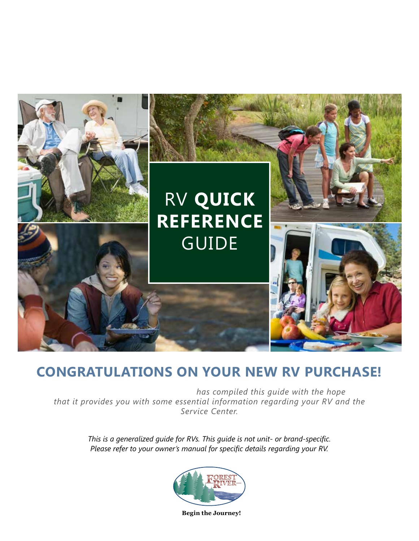

# **CONGRATULATIONS ON YOUR NEW RV PURCHASE!**

 *has compiled this guide with the hope that it provides you with some essential information regarding your RV and the Service Center.*

> *This is a generalized guide for RVs. This guide is not unit- or brand-specific. Please refer to your owner's manual for specific details regarding your RV.*



 **Begin the Journey!**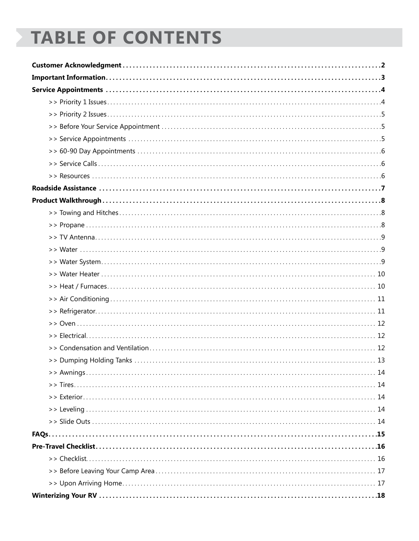# TABLE OF CONTENTS

| >> Awnings………………………………………………………………………………………… 14 |
|-------------------------------------------------|
|                                                 |
|                                                 |
|                                                 |
|                                                 |
|                                                 |
|                                                 |
|                                                 |
|                                                 |
|                                                 |
|                                                 |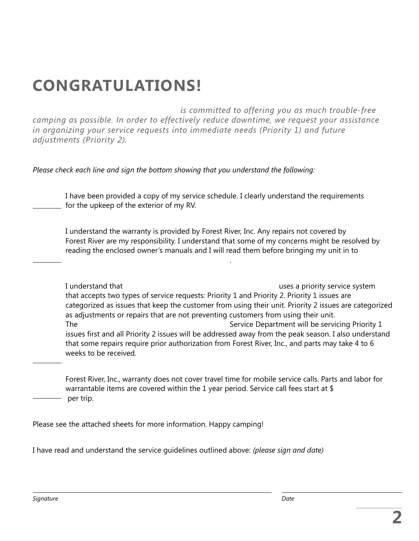# **CONGRATULATIONS!**

 *is committed to offering you as much trouble-free camping as possible. In order to effectively reduce downtime, we request your assistance in organizing your service requests into immediate needs (Priority 1) and future adjustments (Priority 2).*

*Please check each line and sign the bottom showing that you understand the following:*

I have been provided a copy of my service schedule. I clearly understand the requirements for the upkeep of the exterior of my RV.

I understand the warranty is provided by Forest River, Inc. Any repairs not covered by Forest River are my responsibility. I understand that some of my concerns might be resolved by reading the enclosed owner's manuals and I will read them before bringing my unit in to

I understand that **I** understand that uses a priority service system that accepts two types of service requests: Priority 1 and Priority 2. Priority 1 issues are categorized as issues that keep the customer from using their unit. Priority 2 issues are categorized as adjustments or repairs that are not preventing customers from using their unit. The Service Department will be servicing Priority 1 issues first and all Priority 2 issues will be addressed away from the peak season. I also understand that some repairs require prior authorization from Forest River, Inc., and parts may take 4 to 6 weeks to be received.

Forest River, Inc., warranty does not cover travel time for mobile service calls. Parts and labor for warrantable items are covered within the 1 year period. Service call fees start at \$ per trip.

Please see the attached sheets for more information. Happy camping!

I have read and understand the service guidelines outlined above: *(please sign and date)*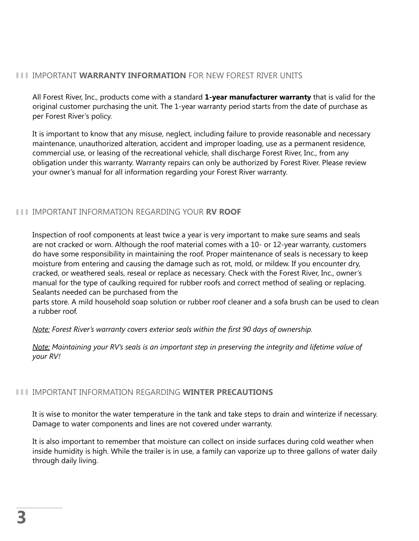# **IMPORTANT WARRANTY INFORMATION** FOR NEW FOREST RIVER UNITS

All Forest River, Inc., products come with a standard **1-year manufacturer warranty** that is valid for the original customer purchasing the unit. The 1-year warranty period starts from the date of purchase as per Forest River's policy.

It is important to know that any misuse, neglect, including failure to provide reasonable and necessary maintenance, unauthorized alteration, accident and improper loading, use as a permanent residence, commercial use, or leasing of the recreational vehicle, shall discharge Forest River, Inc., from any obligation under this warranty. Warranty repairs can only be authorized by Forest River. Please review your owner's manual for all information regarding your Forest River warranty.

# IMPORTANT INFORMATION REGARDING YOUR **RV ROOF**

Inspection of roof components at least twice a year is very important to make sure seams and seals are not cracked or worn. Although the roof material comes with a 10- or 12-year warranty, customers do have some responsibility in maintaining the roof. Proper maintenance of seals is necessary to keep moisture from entering and causing the damage such as rot, mold, or mildew. If you encounter dry, cracked, or weathered seals, reseal or replace as necessary. Check with the Forest River, Inc., owner's manual for the type of caulking required for rubber roofs and correct method of sealing or replacing. Sealants needed can be purchased from the

parts store. A mild household soap solution or rubber roof cleaner and a sofa brush can be used to clean a rubber roof.

*Note: Forest River's warranty covers exterior seals within the first 90 days of ownership.*

*Note: Maintaining your RV's seals is an important step in preserving the integrity and lifetime value of your RV!*

## **III IMPORTANT INFORMATION REGARDING WINTER PRECAUTIONS**

It is wise to monitor the water temperature in the tank and take steps to drain and winterize if necessary. Damage to water components and lines are not covered under warranty.

It is also important to remember that moisture can collect on inside surfaces during cold weather when inside humidity is high. While the trailer is in use, a family can vaporize up to three gallons of water daily through daily living.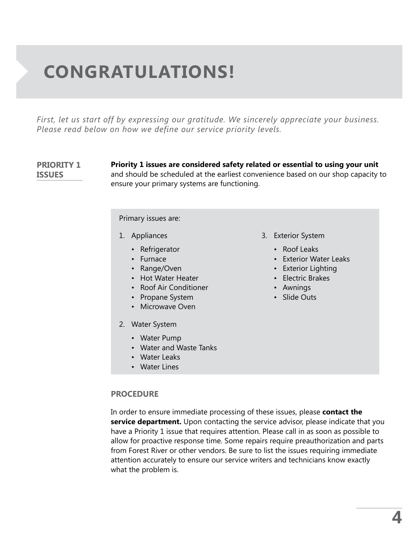# **CONGRATULATIONS!**

*First, let us start off by expressing our gratitude. We sincerely appreciate your business. Please read below on how we define our service priority levels.*

# **PRIORITY 1 ISSUES**

**Priority 1 issues are considered safety related or essential to using your unit** and should be scheduled at the earliest convenience based on our shop capacity to ensure your primary systems are functioning.

Primary issues are:

- 1. Appliances
	- Refrigerator
	- Furnace
	- Range/Oven
	- Hot Water Heater
	- Roof Air Conditioner
	- Propane System
	- Microwave Oven
- 2. Water System
	- Water Pump
	- Water and Waste Tanks
	- Water Leaks
	- Water Lines

### **PROCEDURE**

In order to ensure immediate processing of these issues, please **contact the service department.** Upon contacting the service advisor, please indicate that you have a Priority 1 issue that requires attention. Please call in as soon as possible to allow for proactive response time. Some repairs require preauthorization and parts from Forest River or other vendors. Be sure to list the issues requiring immediate attention accurately to ensure our service writers and technicians know exactly what the problem is.

- 3. Exterior System
	- Roof Leaks
	- Exterior Water Leaks
	- Exterior Lighting
	- Electric Brakes
	- Awnings
	- Slide Outs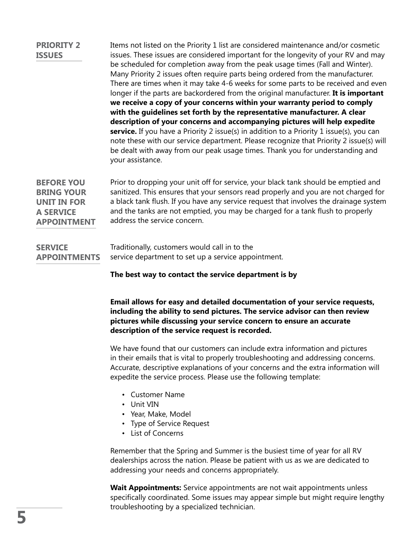### **PRIORITY 2 ISSUES**

Items not listed on the Priority 1 list are considered maintenance and/or cosmetic issues. These issues are considered important for the longevity of your RV and may be scheduled for completion away from the peak usage times (Fall and Winter). Many Priority 2 issues often require parts being ordered from the manufacturer. There are times when it may take 4-6 weeks for some parts to be received and even longer if the parts are backordered from the original manufacturer. **It is important we receive a copy of your concerns within your warranty period to comply with the guidelines set forth by the representative manufacturer. A clear description of your concerns and accompanying pictures will help expedite service.** If you have a Priority 2 issue(s) in addition to a Priority 1 issue(s), you can note these with our service department. Please recognize that Priority 2 issue(s) will be dealt with away from our peak usage times. Thank you for understanding and your assistance.

Prior to dropping your unit off for service, your black tank should be emptied and sanitized. This ensures that your sensors read properly and you are not charged for a black tank flush. If you have any service request that involves the drainage system and the tanks are not emptied, you may be charged for a tank flush to properly address the service concern. **BEFORE YOU BRING YOUR UNIT IN FOR A SERVICE APPOINTMENT**

Traditionally, customers would call in to the service department to set up a service appointment. **SERVICE APPOINTMENTS**

**The best way to contact the service department is by** 

**Email allows for easy and detailed documentation of your service requests, including the ability to send pictures. The service advisor can then review pictures while discussing your service concern to ensure an accurate description of the service request is recorded.**

We have found that our customers can include extra information and pictures in their emails that is vital to properly troubleshooting and addressing concerns. Accurate, descriptive explanations of your concerns and the extra information will expedite the service process. Please use the following template:

- Customer Name
- Unit VIN
- Year, Make, Model
- Type of Service Request
- List of Concerns

Remember that the Spring and Summer is the busiest time of year for all RV dealerships across the nation. Please be patient with us as we are dedicated to addressing your needs and concerns appropriately.

**Wait Appointments:** Service appointments are not wait appointments unless specifically coordinated. Some issues may appear simple but might require lengthy troubleshooting by a specialized technician.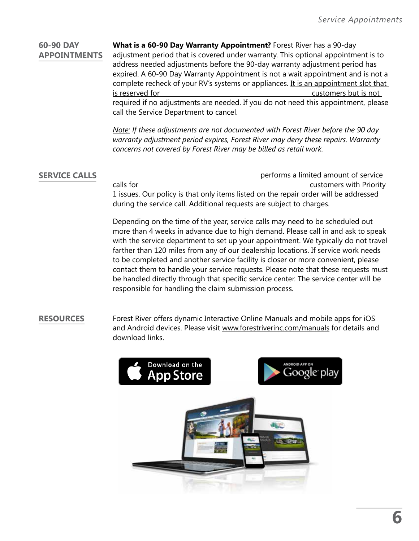# **60-90 DAY APPOINTMENTS**

**What is a 60-90 Day Warranty Appointment?** Forest River has a 90-day adjustment period that is covered under warranty. This optional appointment is to address needed adjustments before the 90-day warranty adjustment period has expired. A 60-90 Day Warranty Appointment is not a wait appointment and is not a complete recheck of your RV's systems or appliances. It is an appointment slot that is reserved for customers but is not required if no adjustments are needed. If you do not need this appointment, please call the Service Department to cancel.

*Note: If these adjustments are not documented with Forest River before the 90 day warranty adjustment period expires, Forest River may deny these repairs. Warranty concerns not covered by Forest River may be billed as retail work.*

## **SERVICE CALLS**

 performs a limited amount of service calls for customers with Priority 1 issues. Our policy is that only items listed on the repair order will be addressed during the service call. Additional requests are subject to charges.

Depending on the time of the year, service calls may need to be scheduled out more than 4 weeks in advance due to high demand. Please call in and ask to speak with the service department to set up your appointment. We typically do not travel farther than 120 miles from any of our dealership locations. If service work needs to be completed and another service facility is closer or more convenient, please contact them to handle your service requests. Please note that these requests must be handled directly through that specific service center. The service center will be responsible for handling the claim submission process.

## **RESOURCES**

Forest River offers dynamic Interactive Online Manuals and mobile apps for iOS and Android devices. Please visit www.forestriverinc.com/manuals for details and download links.

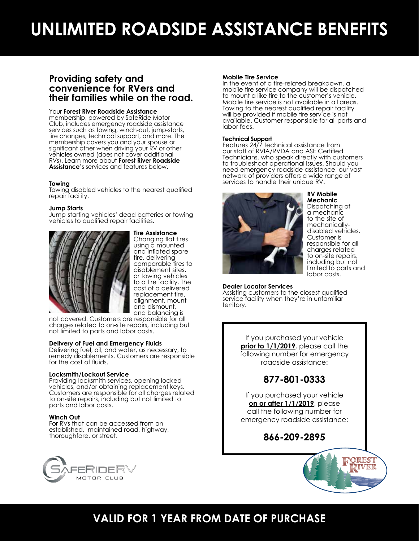# **UNLIMITED ROADSIDE ASSISTANCE BENEFITS**

# **Providing safety and convenience for RVers and their families while on the road.**

#### Your **Forest River Roadside Assistance**

membership, powered by SafeRide Motor Club, includes emergency roadside assistance services such as towing, winch-out, jump-starts, tire changes, technical support, and more. The membership covers you and your spouse or significant other when driving your RV or other vehicles owned (does not cover additional RVs). Learn more about **Forest River Roadside Assistance**'s services and features below.

#### **Towing**

Towing disabled vehicles to the nearest qualified repair facility.

#### **Jump Starts**

Jump-starting vehicles' dead batteries or towing vehicles to qualified repair facilities.



**Tire Assistance** Changing flat tires using a mounted and inflated spare tire, delivering comparable tires to disablement sites, or towing vehicles to a tire facility. The cost of a delivered replacement tire, alignment, mount and dismount, and balancing is

not covered. Customers are responsible for all charges related to on-site repairs, including but not limited to parts and labor costs.

#### **Delivery of Fuel and Emergency Fluids**

Delivering fuel, oil, and water, as necessary, to remedy disablements. Customers are responsible for the cost of fluids.

#### **Locksmith/Lockout Service**

Providing locksmith services, opening locked vehicles, and/or obtaining replacement keys. Customers are responsible for all charges related to on-site repairs, including but not limited to parts and labor costs.

#### **Winch Out**

For RVs that can be accessed from an established, maintained road, highway, thoroughfare, or street.



#### **Mobile Tire Service**

In the event of a tire-related breakdown, a mobile tire service company will be dispatched to mount a like tire to the customer's vehicle. Mobile tire service is not available in all areas. Towing to the nearest qualified repair facility will be provided if mobile tire service is not available. Customer responsible for all parts and labor fees.

#### **Technical Support**

Features 24/7 technical assistance from our staff of RVIA/RVDA and ASE Certified Technicians, who speak directly with customers to troubleshoot operational issues. Should you need emergency roadside assistance, our vast network of providers offers a wide range of services to handle their unique RV.



#### **RV Mobile Mechanic**

Dispatching of a mechanic to the site of mechanicallydisabled vehicles. Customer is responsible for all charges related to on-site repairs, including but not limited to parts and labor costs.

#### **Dealer Locator Services**

Assisting customers to the closest qualified service facility when they're in unfamiliar territory.

> If you purchased your vehicle **prior to 1/1/2019**, please call the following number for emergency roadside assistance:

# **877-801-0333**

If you purchased your vehicle **on or after 1/1/2019**, please call the following number for emergency roadside assistance:

**866-209-2895**



# **VALID FOR 1 YEAR FROM DATE OF PURCHASE**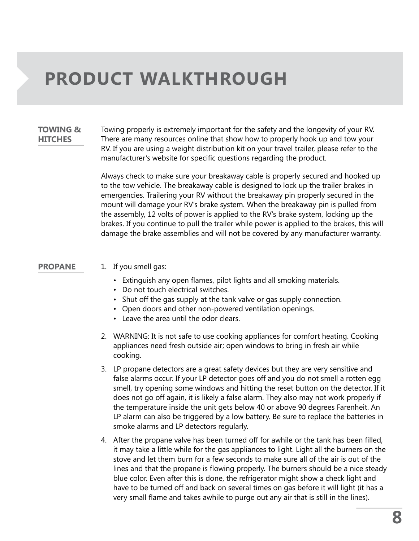# **PRODUCT WALKTHROUGH**

# **TOWING & HITCHES**

Towing properly is extremely important for the safety and the longevity of your RV. There are many resources online that show how to properly hook up and tow your RV. If you are using a weight distribution kit on your travel trailer, please refer to the manufacturer's website for specific questions regarding the product.

Always check to make sure your breakaway cable is properly secured and hooked up to the tow vehicle. The breakaway cable is designed to lock up the trailer brakes in emergencies. Trailering your RV without the breakaway pin properly secured in the mount will damage your RV's brake system. When the breakaway pin is pulled from the assembly, 12 volts of power is applied to the RV's brake system, locking up the brakes. If you continue to pull the trailer while power is applied to the brakes, this will damage the brake assemblies and will not be covered by any manufacturer warranty.

### **PROPANE**

- 1. If you smell gas:
	- Extinguish any open flames, pilot lights and all smoking materials.
	- Do not touch electrical switches.
	- Shut off the gas supply at the tank valve or gas supply connection.
	- Open doors and other non-powered ventilation openings.
	- Leave the area until the odor clears.
- 2. WARNING: It is not safe to use cooking appliances for comfort heating. Cooking appliances need fresh outside air; open windows to bring in fresh air while cooking.
- 3. LP propane detectors are a great safety devices but they are very sensitive and false alarms occur. If your LP detector goes off and you do not smell a rotten egg smell, try opening some windows and hitting the reset button on the detector. If it does not go off again, it is likely a false alarm. They also may not work properly if the temperature inside the unit gets below 40 or above 90 degrees Farenheit. An LP alarm can also be triggered by a low battery. Be sure to replace the batteries in smoke alarms and LP detectors regularly.
- 4. After the propane valve has been turned off for awhile or the tank has been filled, it may take a little while for the gas appliances to light. Light all the burners on the stove and let them burn for a few seconds to make sure all of the air is out of the lines and that the propane is flowing properly. The burners should be a nice steady blue color. Even after this is done, the refrigerator might show a check light and have to be turned off and back on several times on gas before it will light (it has a very small flame and takes awhile to purge out any air that is still in the lines).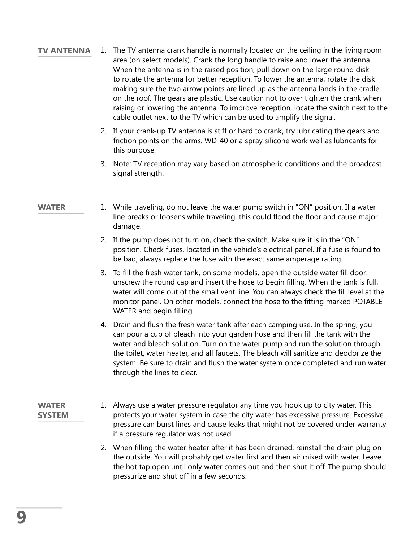- 1. The TV antenna crank handle is normally located on the ceiling in the living room area (on select models). Crank the long handle to raise and lower the antenna. When the antenna is in the raised position, pull down on the large round disk to rotate the antenna for better reception. To lower the antenna, rotate the disk making sure the two arrow points are lined up as the antenna lands in the cradle on the roof. The gears are plastic. Use caution not to over tighten the crank when raising or lowering the antenna. To improve reception, locate the switch next to the cable outlet next to the TV which can be used to amplify the signal. **TV ANTENNA**
	- 2. If your crank-up TV antenna is stiff or hard to crank, try lubricating the gears and friction points on the arms. WD-40 or a spray silicone work well as lubricants for this purpose.
	- 3. Note: TV reception may vary based on atmospheric conditions and the broadcast signal strength.

#### **WATER**

- 1. While traveling, do not leave the water pump switch in "ON" position. If a water line breaks or loosens while traveling, this could flood the floor and cause major damage.
	- 2. If the pump does not turn on, check the switch. Make sure it is in the "ON" position. Check fuses, located in the vehicle's electrical panel. If a fuse is found to be bad, always replace the fuse with the exact same amperage rating.
	- 3. To fill the fresh water tank, on some models, open the outside water fill door, unscrew the round cap and insert the hose to begin filling. When the tank is full, water will come out of the small vent line. You can always check the fill level at the monitor panel. On other models, connect the hose to the fitting marked POTABLE WATER and begin filling.
	- 4. Drain and flush the fresh water tank after each camping use. In the spring, you can pour a cup of bleach into your garden hose and then fill the tank with the water and bleach solution. Turn on the water pump and run the solution through the toilet, water heater, and all faucets. The bleach will sanitize and deodorize the system. Be sure to drain and flush the water system once completed and run water through the lines to clear.

### **WATER SYSTEM**

- 1. Always use a water pressure regulator any time you hook up to city water. This protects your water system in case the city water has excessive pressure. Excessive pressure can burst lines and cause leaks that might not be covered under warranty if a pressure regulator was not used.
	- 2. When filling the water heater after it has been drained, reinstall the drain plug on the outside. You will probably get water first and then air mixed with water. Leave the hot tap open until only water comes out and then shut it off. The pump should pressurize and shut off in a few seconds.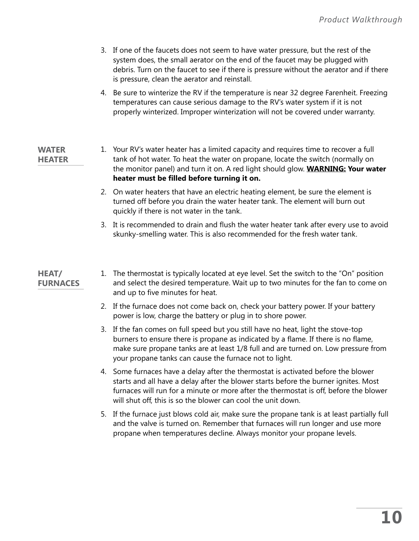- 3. If one of the faucets does not seem to have water pressure, but the rest of the system does, the small aerator on the end of the faucet may be plugged with debris. Turn on the faucet to see if there is pressure without the aerator and if there is pressure, clean the aerator and reinstall.
- 4. Be sure to winterize the RV if the temperature is near 32 degree Farenheit. Freezing temperatures can cause serious damage to the RV's water system if it is not properly winterized. Improper winterization will not be covered under warranty.

### **WATER HEATER**

- 1. Your RV's water heater has a limited capacity and requires time to recover a full tank of hot water. To heat the water on propane, locate the switch (normally on the monitor panel) and turn it on. A red light should glow. **WARNING: Your water heater must be filled before turning it on.**
	- 2. On water heaters that have an electric heating element, be sure the element is turned off before you drain the water heater tank. The element will burn out quickly if there is not water in the tank.
	- 3. It is recommended to drain and flush the water heater tank after every use to avoid skunky-smelling water. This is also recommended for the fresh water tank.

# **HEAT/ FURNACES**

- 1. The thermostat is typically located at eye level. Set the switch to the "On" position and select the desired temperature. Wait up to two minutes for the fan to come on and up to five minutes for heat.
- 2. If the furnace does not come back on, check your battery power. If your battery power is low, charge the battery or plug in to shore power.
- 3. If the fan comes on full speed but you still have no heat, light the stove-top burners to ensure there is propane as indicated by a flame. If there is no flame, make sure propane tanks are at least 1/8 full and are turned on. Low pressure from your propane tanks can cause the furnace not to light.
- 4. Some furnaces have a delay after the thermostat is activated before the blower starts and all have a delay after the blower starts before the burner ignites. Most furnaces will run for a minute or more after the thermostat is off, before the blower will shut off, this is so the blower can cool the unit down.
- 5. If the furnace just blows cold air, make sure the propane tank is at least partially full and the valve is turned on. Remember that furnaces will run longer and use more propane when temperatures decline. Always monitor your propane levels.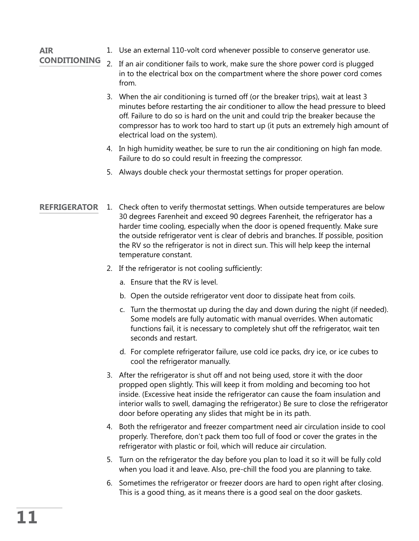#### 1. Use an external 110-volt cord whenever possible to conserve generator use. **AIR**

# **CONDITIONING**

- 2. If an air conditioner fails to work, make sure the shore power cord is plugged in to the electrical box on the compartment where the shore power cord comes from.
- 3. When the air conditioning is turned off (or the breaker trips), wait at least 3 minutes before restarting the air conditioner to allow the head pressure to bleed off. Failure to do so is hard on the unit and could trip the breaker because the compressor has to work too hard to start up (it puts an extremely high amount of electrical load on the system).
- 4. In high humidity weather, be sure to run the air conditioning on high fan mode. Failure to do so could result in freezing the compressor.
- 5. Always double check your thermostat settings for proper operation.
- 1. Check often to verify thermostat settings. When outside temperatures are below 30 degrees Farenheit and exceed 90 degrees Farenheit, the refrigerator has a harder time cooling, especially when the door is opened frequently. Make sure the outside refrigerator vent is clear of debris and branches. If possible, position the RV so the refrigerator is not in direct sun. This will help keep the internal temperature constant. **REFRIGERATOR**
	- 2. If the refrigerator is not cooling sufficiently:
		- a. Ensure that the RV is level.
		- b. Open the outside refrigerator vent door to dissipate heat from coils.
		- c. Turn the thermostat up during the day and down during the night (if needed). Some models are fully automatic with manual overrides. When automatic functions fail, it is necessary to completely shut off the refrigerator, wait ten seconds and restart.
		- d. For complete refrigerator failure, use cold ice packs, dry ice, or ice cubes to cool the refrigerator manually.
	- 3. After the refrigerator is shut off and not being used, store it with the door propped open slightly. This will keep it from molding and becoming too hot inside. (Excessive heat inside the refrigerator can cause the foam insulation and interior walls to swell, damaging the refrigerator.) Be sure to close the refrigerator door before operating any slides that might be in its path.
	- 4. Both the refrigerator and freezer compartment need air circulation inside to cool properly. Therefore, don't pack them too full of food or cover the grates in the refrigerator with plastic or foil, which will reduce air circulation.
	- 5. Turn on the refrigerator the day before you plan to load it so it will be fully cold when you load it and leave. Also, pre-chill the food you are planning to take.
	- 6. Sometimes the refrigerator or freezer doors are hard to open right after closing. This is a good thing, as it means there is a good seal on the door gaskets.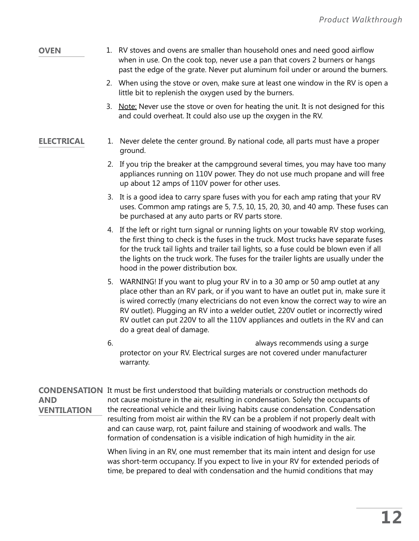### **OVEN**

- 1. RV stoves and ovens are smaller than household ones and need good airflow when in use. On the cook top, never use a pan that covers 2 burners or hangs past the edge of the grate. Never put aluminum foil under or around the burners.
	- 2. When using the stove or oven, make sure at least one window in the RV is open a little bit to replenish the oxygen used by the burners.
	- 3. Note: Never use the stove or oven for heating the unit. It is not designed for this and could overheat. It could also use up the oxygen in the RV.

### **ELECTRICAL**

- 1. Never delete the center ground. By national code, all parts must have a proper ground.
- 2. If you trip the breaker at the campground several times, you may have too many appliances running on 110V power. They do not use much propane and will free up about 12 amps of 110V power for other uses.
- 3. It is a good idea to carry spare fuses with you for each amp rating that your RV uses. Common amp ratings are 5, 7.5, 10, 15, 20, 30, and 40 amp. These fuses can be purchased at any auto parts or RV parts store.
- 4. If the left or right turn signal or running lights on your towable RV stop working, the first thing to check is the fuses in the truck. Most trucks have separate fuses for the truck tail lights and trailer tail lights, so a fuse could be blown even if all the lights on the truck work. The fuses for the trailer lights are usually under the hood in the power distribution box.
- 5. WARNING! If you want to plug your RV in to a 30 amp or 50 amp outlet at any place other than an RV park, or if you want to have an outlet put in, make sure it is wired correctly (many electricians do not even know the correct way to wire an RV outlet). Plugging an RV into a welder outlet, 220V outlet or incorrectly wired RV outlet can put 220V to all the 110V appliances and outlets in the RV and can do a great deal of damage.
- 6. always recommends using a surge protector on your RV. Electrical surges are not covered under manufacturer warranty.

**CONDENSATION** It must be first understood that building materials or construction methods do not cause moisture in the air, resulting in condensation. Solely the occupants of the recreational vehicle and their living habits cause condensation. Condensation resulting from moist air within the RV can be a problem if not properly dealt with and can cause warp, rot, paint failure and staining of woodwork and walls. The formation of condensation is a visible indication of high humidity in the air. **AND VENTILATION**

> When living in an RV, one must remember that its main intent and design for use was short-term occupancy. If you expect to live in your RV for extended periods of time, be prepared to deal with condensation and the humid conditions that may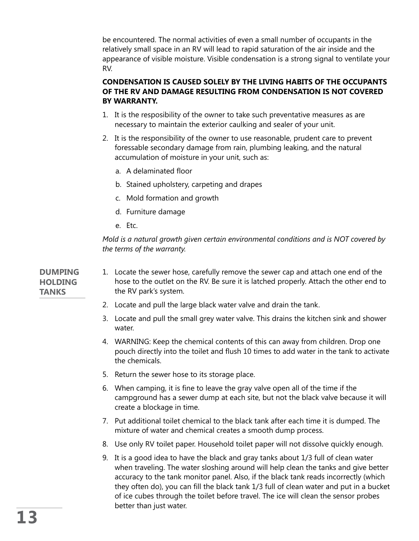be encountered. The normal activities of even a small number of occupants in the relatively small space in an RV will lead to rapid saturation of the air inside and the appearance of visible moisture. Visible condensation is a strong signal to ventilate your RV.

# **CONDENSATION IS CAUSED SOLELY BY THE LIVING HABITS OF THE OCCUPANTS OF THE RV AND DAMAGE RESULTING FROM CONDENSATION IS NOT COVERED BY WARRANTY.**

- 1. It is the resposibility of the owner to take such preventative measures as are necessary to maintain the exterior caulking and sealer of your unit.
- 2. It is the responsibility of the owner to use reasonable, prudent care to prevent foressable secondary damage from rain, plumbing leaking, and the natural accumulation of moisture in your unit, such as:
	- a. A delaminated floor
	- b. Stained upholstery, carpeting and drapes
	- c. Mold formation and growth
	- d. Furniture damage
	- e. Etc.

*Mold is a natural growth given certain environmental conditions and is NOT covered by the terms of the warranty.*

## **DUMPING HOLDING TANKS**

- 1. Locate the sewer hose, carefully remove the sewer cap and attach one end of the hose to the outlet on the RV. Be sure it is latched properly. Attach the other end to the RV park's system.
- 2. Locate and pull the large black water valve and drain the tank.
- 3. Locate and pull the small grey water valve. This drains the kitchen sink and shower water.
- 4. WARNING: Keep the chemical contents of this can away from children. Drop one pouch directly into the toilet and flush 10 times to add water in the tank to activate the chemicals.
- 5. Return the sewer hose to its storage place.
- 6. When camping, it is fine to leave the gray valve open all of the time if the campground has a sewer dump at each site, but not the black valve because it will create a blockage in time.
- 7. Put additional toilet chemical to the black tank after each time it is dumped. The mixture of water and chemical creates a smooth dump process.
- 8. Use only RV toilet paper. Household toilet paper will not dissolve quickly enough.
- 9. It is a good idea to have the black and gray tanks about 1/3 full of clean water when traveling. The water sloshing around will help clean the tanks and give better accuracy to the tank monitor panel. Also, if the black tank reads incorrectly (which they often do), you can fill the black tank 1/3 full of clean water and put in a bucket of ice cubes through the toilet before travel. The ice will clean the sensor probes better than just water.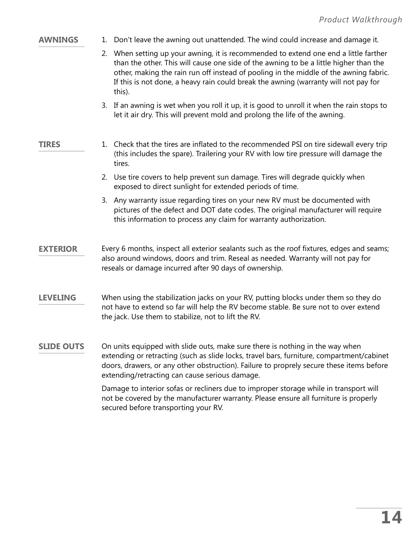#### 1. Don't leave the awning out unattended. The wind could increase and damage it. **AWNINGS**

- 2. When setting up your awning, it is recommended to extend one end a little farther than the other. This will cause one side of the awning to be a little higher than the other, making the rain run off instead of pooling in the middle of the awning fabric. If this is not done, a heavy rain could break the awning (warranty will not pay for this).
- 3. If an awning is wet when you roll it up, it is good to unroll it when the rain stops to let it air dry. This will prevent mold and prolong the life of the awning.

#### **TIRES**

- 1. Check that the tires are inflated to the recommended PSI on tire sidewall every trip (this includes the spare). Trailering your RV with low tire pressure will damage the tires.
	- 2. Use tire covers to help prevent sun damage. Tires will degrade quickly when exposed to direct sunlight for extended periods of time.
	- 3. Any warranty issue regarding tires on your new RV must be documented with pictures of the defect and DOT date codes. The original manufacturer will require this information to process any claim for warranty authorization.
- Every 6 months, inspect all exterior sealants such as the roof fixtures, edges and seams; also around windows, doors and trim. Reseal as needed. Warranty will not pay for reseals or damage incurred after 90 days of ownership. **EXTERIOR**
- When using the stabilization jacks on your RV, putting blocks under them so they do not have to extend so far will help the RV become stable. Be sure not to over extend the jack. Use them to stabilize, not to lift the RV. **LEVELING**
- On units equipped with slide outs, make sure there is nothing in the way when extending or retracting (such as slide locks, travel bars, furniture, compartment/cabinet doors, drawers, or any other obstruction). Failure to proprely secure these items before extending/retracting can cause serious damage. **SLIDE OUTS**

Damage to interior sofas or recliners due to improper storage while in transport will not be covered by the manufacturer warranty. Please ensure all furniture is properly secured before transporting your RV.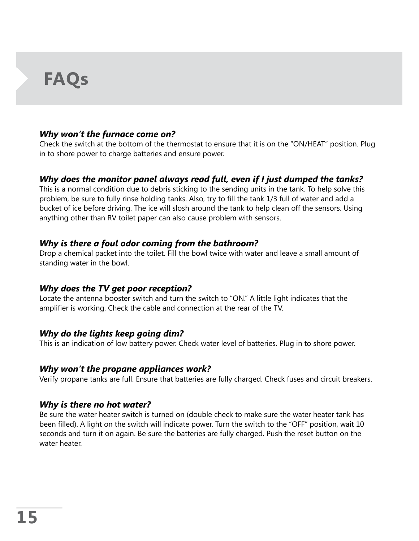# **FAQs**

# *Why won't the furnace come on?*

Check the switch at the bottom of the thermostat to ensure that it is on the "ON/HEAT" position. Plug in to shore power to charge batteries and ensure power.

# *Why does the monitor panel always read full, even if I just dumped the tanks?*

This is a normal condition due to debris sticking to the sending units in the tank. To help solve this problem, be sure to fully rinse holding tanks. Also, try to fill the tank 1/3 full of water and add a bucket of ice before driving. The ice will slosh around the tank to help clean off the sensors. Using anything other than RV toilet paper can also cause problem with sensors.

# *Why is there a foul odor coming from the bathroom?*

Drop a chemical packet into the toilet. Fill the bowl twice with water and leave a small amount of standing water in the bowl.

# *Why does the TV get poor reception?*

Locate the antenna booster switch and turn the switch to "ON." A little light indicates that the amplifier is working. Check the cable and connection at the rear of the TV.

# *Why do the lights keep going dim?*

This is an indication of low battery power. Check water level of batteries. Plug in to shore power.

# *Why won't the propane appliances work?*

Verify propane tanks are full. Ensure that batteries are fully charged. Check fuses and circuit breakers.

# *Why is there no hot water?*

Be sure the water heater switch is turned on (double check to make sure the water heater tank has been filled). A light on the switch will indicate power. Turn the switch to the "OFF" position, wait 10 seconds and turn it on again. Be sure the batteries are fully charged. Push the reset button on the water heater.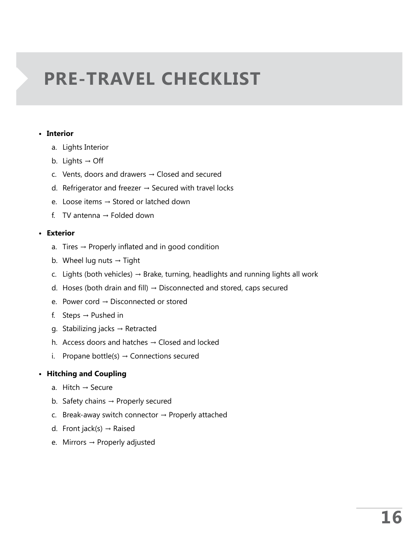# **PRE-TRAVEL CHECKLIST**

# **• Interior**

- a. Lights Interior
- b. Lights  $\rightarrow$  Off
- c. Vents, doors and drawers  $\rightarrow$  Closed and secured
- d. Refrigerator and freezer  $\rightarrow$  Secured with travel locks
- e. Loose items  $\rightarrow$  Stored or latched down
- f. TV antenna  $\rightarrow$  Folded down

# **• Exterior**

- a. Tires  $\rightarrow$  Properly inflated and in good condition
- b. Wheel lug nuts  $\rightarrow$  Tight
- c. Lights (both vehicles)  $\rightarrow$  Brake, turning, headlights and running lights all work
- d. Hoses (both drain and fill)  $\rightarrow$  Disconnected and stored, caps secured
- e. Power cord → Disconnected or stored
- f. Steps  $\rightarrow$  Pushed in
- g. Stabilizing jacks → Retracted
- h. Access doors and hatches  $\rightarrow$  Closed and locked
- i. Propane bottle(s)  $\rightarrow$  Connections secured

# **• Hitching and Coupling**

- a. Hitch  $\rightarrow$  Secure
- b. Safety chains  $\rightarrow$  Properly secured
- c. Break-away switch connector  $\rightarrow$  Properly attached
- d. Front jack(s)  $\rightarrow$  Raised
- e. Mirrors → Properly adjusted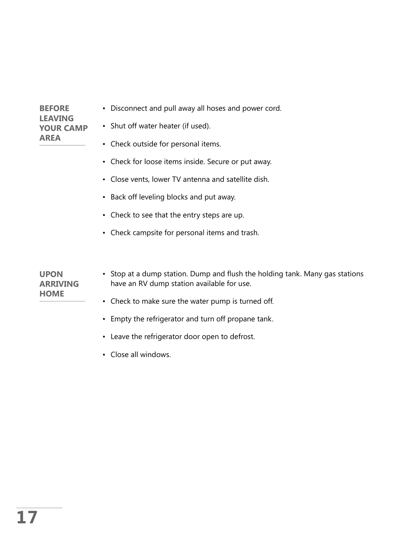| <b>BEFORE</b><br><b>LEAVING</b><br><b>YOUR CAMP</b><br><b>AREA</b> | • Disconnect and pull away all hoses and power cord.<br>• Shut off water heater (if used).<br>• Check outside for personal items. |  |  |  |                                                     |
|--------------------------------------------------------------------|-----------------------------------------------------------------------------------------------------------------------------------|--|--|--|-----------------------------------------------------|
|                                                                    |                                                                                                                                   |  |  |  | • Check for loose items inside. Secure or put away. |
|                                                                    |                                                                                                                                   |  |  |  | • Close vents, lower TV antenna and satellite dish. |
|                                                                    | • Back off leveling blocks and put away.                                                                                          |  |  |  |                                                     |
|                                                                    | • Check to see that the entry steps are up.                                                                                       |  |  |  |                                                     |
|                                                                    | • Check campsite for personal items and trash.                                                                                    |  |  |  |                                                     |
|                                                                    |                                                                                                                                   |  |  |  |                                                     |
| <b>UPON</b><br><b>ARRIVING</b>                                     | • Stop at a dump station. Dump and flush the holding tank. Many gas stations<br>have an RV dump station available for use.        |  |  |  |                                                     |
| <b>HOME</b>                                                        | • Check to make sure the water pump is turned off.                                                                                |  |  |  |                                                     |
|                                                                    | • Empty the refrigerator and turn off propane tank.                                                                               |  |  |  |                                                     |
|                                                                    | • Leave the refrigerator door open to defrost.                                                                                    |  |  |  |                                                     |

• Close all windows.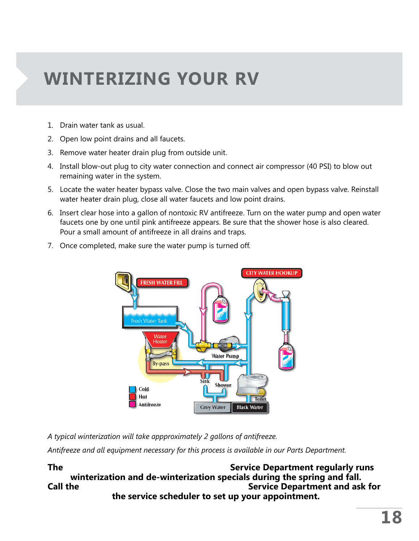# **WINTERIZING YOUR RV**

- 1. Drain water tank as usual.
- 2. Open low point drains and all faucets.
- 3. Remove water heater drain plug from outside unit.
- 4. Install blow-out plug to city water connection and connect air compressor (40 PSI) to blow out remaining water in the system.
- 5. Locate the water heater bypass valve. Close the two main valves and open bypass valve. Reinstall water heater drain plug, close all water faucets and low point drains.
- 6. Insert clear hose into a gallon of nontoxic RV antifreeze. Turn on the water pump and open water faucets one by one until pink antifreeze appears. Be sure that the shower hose is also cleared. Pour a small amount of antifreeze in all drains and traps.
- 7. Once completed, make sure the water pump is turned off.



*A typical winterization will take appproximately 2 gallons of antifreeze.*

*Antifreeze and all equipment necessary for this process is available in our Parts Department.*

**The Service Department regularly runs** Service Department regularly runs **winterization and de-winterization specials during the spring and fall. Call the Service Department and ask for the service scheduler to set up your appointment.**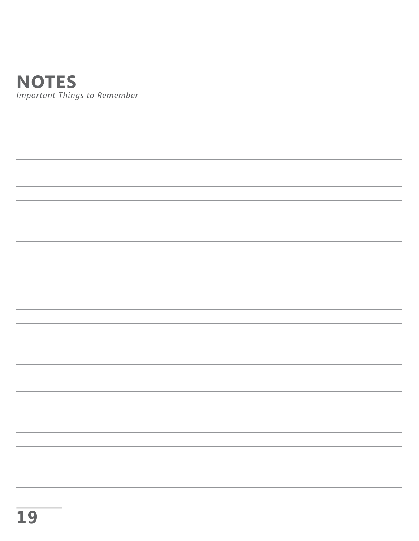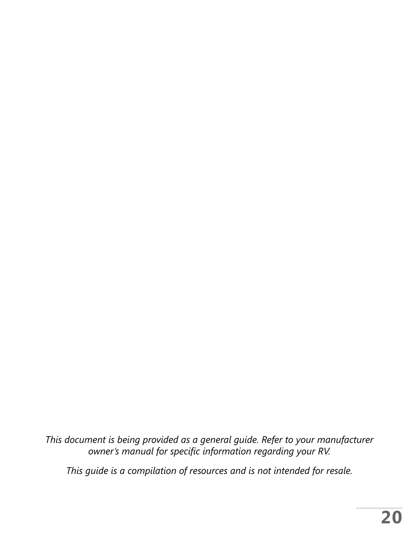*This document is being provided as a general guide. Refer to your manufacturer owner's manual for specific information regarding your RV.*

*This guide is a compilation of resources and is not intended for resale.*